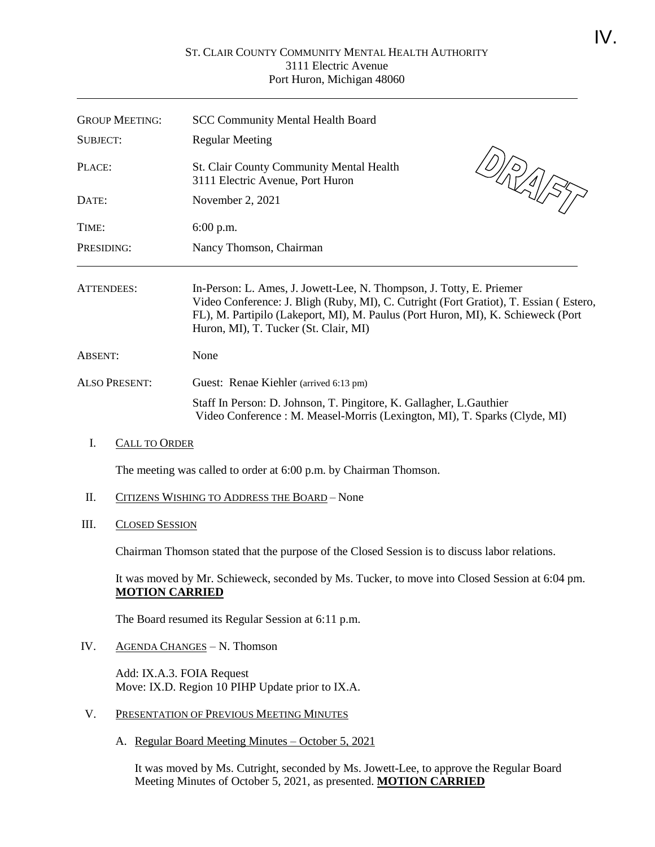## ST. CLAIR COUNTY COMMUNITY MENTAL HEALTH AUTHORITY 3111 Electric Avenue Port Huron, Michigan 48060

| <b>GROUP MEETING:</b> |                                                                                                                         | <b>SCC Community Mental Health Board</b>                                                                                                                                                                                                                                                   |
|-----------------------|-------------------------------------------------------------------------------------------------------------------------|--------------------------------------------------------------------------------------------------------------------------------------------------------------------------------------------------------------------------------------------------------------------------------------------|
| <b>SUBJECT:</b>       |                                                                                                                         | <b>Regular Meeting</b>                                                                                                                                                                                                                                                                     |
| PLACE:<br>DATE:       |                                                                                                                         | $\frac{\mathcal{O}}{\mathcal{O}}\left(\frac{1}{\mathcal{O}}\right)^{2}}$<br>St. Clair County Community Mental Health<br>3111 Electric Avenue, Port Huron<br>November 2, 2021                                                                                                               |
|                       |                                                                                                                         |                                                                                                                                                                                                                                                                                            |
| PRESIDING:            |                                                                                                                         | Nancy Thomson, Chairman                                                                                                                                                                                                                                                                    |
| <b>ATTENDEES:</b>     |                                                                                                                         | In-Person: L. Ames, J. Jowett-Lee, N. Thompson, J. Totty, E. Priemer<br>Video Conference: J. Bligh (Ruby, MI), C. Cutright (Fort Gratiot), T. Essian (Estero,<br>FL), M. Partipilo (Lakeport, MI), M. Paulus (Port Huron, MI), K. Schieweck (Port<br>Huron, MI), T. Tucker (St. Clair, MI) |
| ABSENT:               |                                                                                                                         | None                                                                                                                                                                                                                                                                                       |
| <b>ALSO PRESENT:</b>  |                                                                                                                         | Guest: Renae Kiehler (arrived 6:13 pm)                                                                                                                                                                                                                                                     |
|                       |                                                                                                                         | Staff In Person: D. Johnson, T. Pingitore, K. Gallagher, L. Gauthier<br>Video Conference: M. Measel-Morris (Lexington, MI), T. Sparks (Clyde, MI)                                                                                                                                          |
| I.                    | <b>CALL TO ORDER</b>                                                                                                    |                                                                                                                                                                                                                                                                                            |
|                       |                                                                                                                         | The meeting was called to order at 6:00 p.m. by Chairman Thomson.                                                                                                                                                                                                                          |
| Π.                    |                                                                                                                         | CITIZENS WISHING TO ADDRESS THE BOARD - None                                                                                                                                                                                                                                               |
| III.                  | <b>CLOSED SESSION</b>                                                                                                   |                                                                                                                                                                                                                                                                                            |
|                       | Chairman Thomson stated that the purpose of the Closed Session is to discuss labor relations.                           |                                                                                                                                                                                                                                                                                            |
|                       | It was moved by Mr. Schieweck, seconded by Ms. Tucker, to move into Closed Session at 6:04 pm.<br><b>MOTION CARRIED</b> |                                                                                                                                                                                                                                                                                            |
|                       |                                                                                                                         | The Board resumed its Regular Session at 6:11 p.m.                                                                                                                                                                                                                                         |
| IV.                   | <b>AGENDA CHANGES - N. Thomson</b>                                                                                      |                                                                                                                                                                                                                                                                                            |
|                       |                                                                                                                         | Add: IX.A.3. FOIA Request<br>Move: IX.D. Region 10 PIHP Update prior to IX.A.                                                                                                                                                                                                              |
| V.                    |                                                                                                                         | PRESENTATION OF PREVIOUS MEETING MINUTES                                                                                                                                                                                                                                                   |

A. Regular Board Meeting Minutes – October 5, 2021

It was moved by Ms. Cutright, seconded by Ms. Jowett-Lee, to approve the Regular Board Meeting Minutes of October 5, 2021, as presented. **MOTION CARRIED**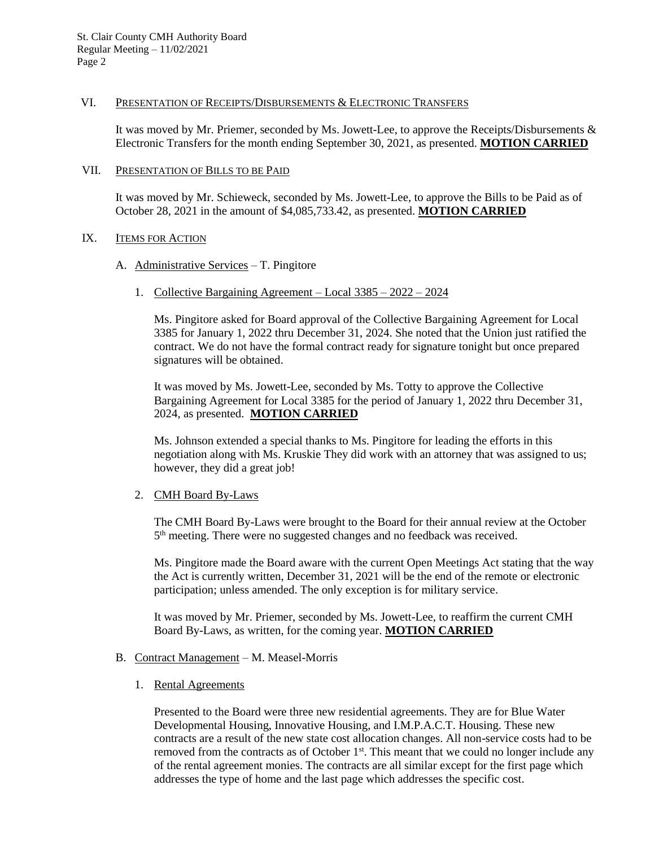### VI. PRESENTATION OF RECEIPTS/DISBURSEMENTS & ELECTRONIC TRANSFERS

It was moved by Mr. Priemer, seconded by Ms. Jowett-Lee, to approve the Receipts/Disbursements & Electronic Transfers for the month ending September 30, 2021, as presented. **MOTION CARRIED**

### VII. PRESENTATION OF BILLS TO BE PAID

It was moved by Mr. Schieweck, seconded by Ms. Jowett-Lee, to approve the Bills to be Paid as of October 28, 2021 in the amount of \$4,085,733.42, as presented. **MOTION CARRIED**

### IX. **ITEMS FOR ACTION**

- A. Administrative Services T. Pingitore
	- 1. Collective Bargaining Agreement Local 3385 2022 2024

Ms. Pingitore asked for Board approval of the Collective Bargaining Agreement for Local 3385 for January 1, 2022 thru December 31, 2024. She noted that the Union just ratified the contract. We do not have the formal contract ready for signature tonight but once prepared signatures will be obtained.

It was moved by Ms. Jowett-Lee, seconded by Ms. Totty to approve the Collective Bargaining Agreement for Local 3385 for the period of January 1, 2022 thru December 31, 2024, as presented. **MOTION CARRIED**

Ms. Johnson extended a special thanks to Ms. Pingitore for leading the efforts in this negotiation along with Ms. Kruskie They did work with an attorney that was assigned to us; however, they did a great job!

## 2. CMH Board By-Laws

The CMH Board By-Laws were brought to the Board for their annual review at the October 5<sup>th</sup> meeting. There were no suggested changes and no feedback was received.

Ms. Pingitore made the Board aware with the current Open Meetings Act stating that the way the Act is currently written, December 31, 2021 will be the end of the remote or electronic participation; unless amended. The only exception is for military service.

It was moved by Mr. Priemer, seconded by Ms. Jowett-Lee, to reaffirm the current CMH Board By-Laws, as written, for the coming year. **MOTION CARRIED**

## B. Contract Management – M. Measel-Morris

1. Rental Agreements

Presented to the Board were three new residential agreements. They are for Blue Water Developmental Housing, Innovative Housing, and I.M.P.A.C.T. Housing. These new contracts are a result of the new state cost allocation changes. All non-service costs had to be removed from the contracts as of October  $1<sup>st</sup>$ . This meant that we could no longer include any of the rental agreement monies. The contracts are all similar except for the first page which addresses the type of home and the last page which addresses the specific cost.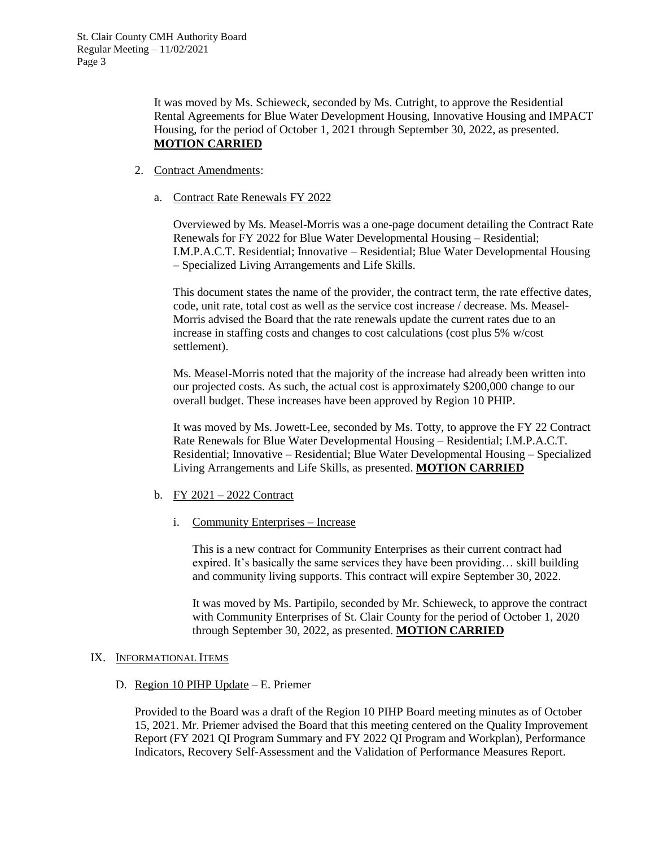It was moved by Ms. Schieweck, seconded by Ms. Cutright, to approve the Residential Rental Agreements for Blue Water Development Housing, Innovative Housing and IMPACT Housing, for the period of October 1, 2021 through September 30, 2022, as presented. **MOTION CARRIED**

- 2. Contract Amendments:
	- a. Contract Rate Renewals FY 2022

Overviewed by Ms. Measel-Morris was a one-page document detailing the Contract Rate Renewals for FY 2022 for Blue Water Developmental Housing – Residential; I.M.P.A.C.T. Residential; Innovative – Residential; Blue Water Developmental Housing – Specialized Living Arrangements and Life Skills.

This document states the name of the provider, the contract term, the rate effective dates, code, unit rate, total cost as well as the service cost increase / decrease. Ms. Measel-Morris advised the Board that the rate renewals update the current rates due to an increase in staffing costs and changes to cost calculations (cost plus 5% w/cost settlement).

Ms. Measel-Morris noted that the majority of the increase had already been written into our projected costs. As such, the actual cost is approximately \$200,000 change to our overall budget. These increases have been approved by Region 10 PHIP.

It was moved by Ms. Jowett-Lee, seconded by Ms. Totty, to approve the FY 22 Contract Rate Renewals for Blue Water Developmental Housing – Residential; I.M.P.A.C.T. Residential; Innovative – Residential; Blue Water Developmental Housing – Specialized Living Arrangements and Life Skills, as presented. **MOTION CARRIED**

## b. FY 2021 – 2022 Contract

i. Community Enterprises – Increase

This is a new contract for Community Enterprises as their current contract had expired. It's basically the same services they have been providing… skill building and community living supports. This contract will expire September 30, 2022.

It was moved by Ms. Partipilo, seconded by Mr. Schieweck, to approve the contract with Community Enterprises of St. Clair County for the period of October 1, 2020 through September 30, 2022, as presented. **MOTION CARRIED**

#### IX. INFORMATIONAL ITEMS

#### D. Region 10 PIHP Update – E. Priemer

Provided to the Board was a draft of the Region 10 PIHP Board meeting minutes as of October 15, 2021. Mr. Priemer advised the Board that this meeting centered on the Quality Improvement Report (FY 2021 QI Program Summary and FY 2022 QI Program and Workplan), Performance Indicators, Recovery Self-Assessment and the Validation of Performance Measures Report.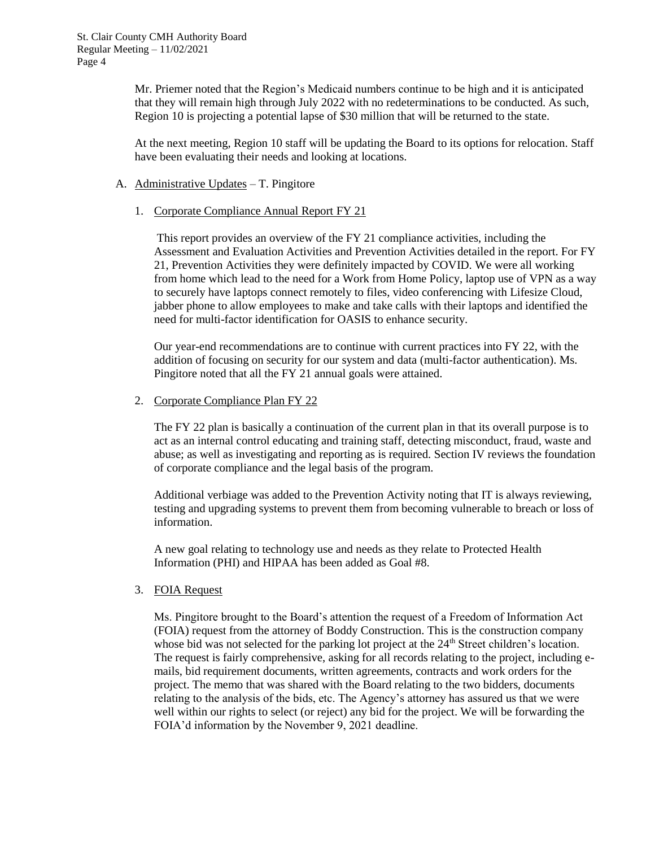Mr. Priemer noted that the Region's Medicaid numbers continue to be high and it is anticipated that they will remain high through July 2022 with no redeterminations to be conducted. As such, Region 10 is projecting a potential lapse of \$30 million that will be returned to the state.

At the next meeting, Region 10 staff will be updating the Board to its options for relocation. Staff have been evaluating their needs and looking at locations.

### A. Administrative Updates – T. Pingitore

1. Corporate Compliance Annual Report FY 21

This report provides an overview of the FY 21 compliance activities, including the Assessment and Evaluation Activities and Prevention Activities detailed in the report. For FY 21, Prevention Activities they were definitely impacted by COVID. We were all working from home which lead to the need for a Work from Home Policy, laptop use of VPN as a way to securely have laptops connect remotely to files, video conferencing with Lifesize Cloud, jabber phone to allow employees to make and take calls with their laptops and identified the need for multi-factor identification for OASIS to enhance security.

Our year-end recommendations are to continue with current practices into FY 22, with the addition of focusing on security for our system and data (multi-factor authentication). Ms. Pingitore noted that all the FY 21 annual goals were attained.

2. Corporate Compliance Plan FY 22

The FY 22 plan is basically a continuation of the current plan in that its overall purpose is to act as an internal control educating and training staff, detecting misconduct, fraud, waste and abuse; as well as investigating and reporting as is required. Section IV reviews the foundation of corporate compliance and the legal basis of the program.

Additional verbiage was added to the Prevention Activity noting that IT is always reviewing, testing and upgrading systems to prevent them from becoming vulnerable to breach or loss of information.

A new goal relating to technology use and needs as they relate to Protected Health Information (PHI) and HIPAA has been added as Goal #8.

## 3. FOIA Request

Ms. Pingitore brought to the Board's attention the request of a Freedom of Information Act (FOIA) request from the attorney of Boddy Construction. This is the construction company whose bid was not selected for the parking lot project at the 24<sup>th</sup> Street children's location. The request is fairly comprehensive, asking for all records relating to the project, including emails, bid requirement documents, written agreements, contracts and work orders for the project. The memo that was shared with the Board relating to the two bidders, documents relating to the analysis of the bids, etc. The Agency's attorney has assured us that we were well within our rights to select (or reject) any bid for the project. We will be forwarding the FOIA'd information by the November 9, 2021 deadline.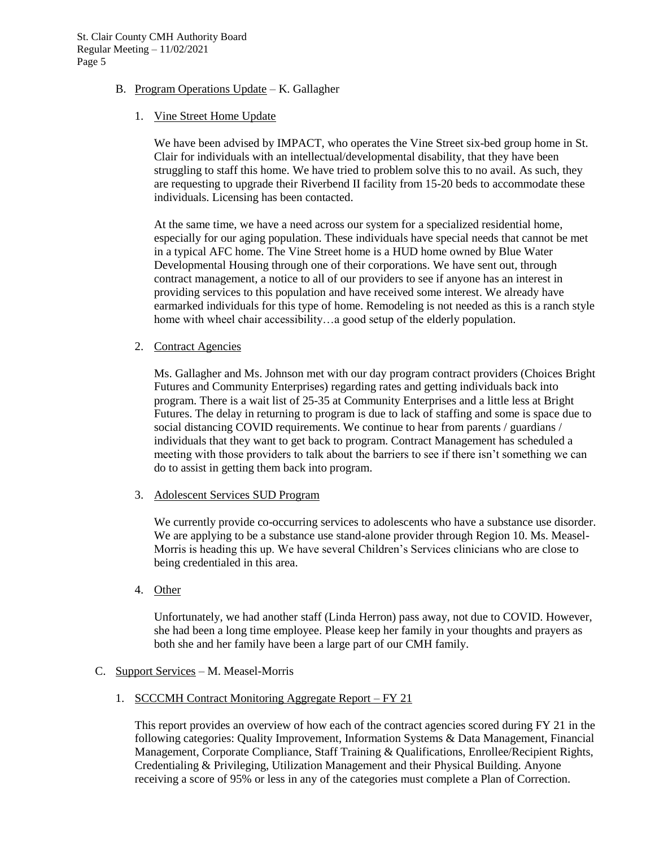- B. Program Operations Update K. Gallagher
	- 1. Vine Street Home Update

We have been advised by IMPACT, who operates the Vine Street six-bed group home in St. Clair for individuals with an intellectual/developmental disability, that they have been struggling to staff this home. We have tried to problem solve this to no avail. As such, they are requesting to upgrade their Riverbend II facility from 15-20 beds to accommodate these individuals. Licensing has been contacted.

At the same time, we have a need across our system for a specialized residential home, especially for our aging population. These individuals have special needs that cannot be met in a typical AFC home. The Vine Street home is a HUD home owned by Blue Water Developmental Housing through one of their corporations. We have sent out, through contract management, a notice to all of our providers to see if anyone has an interest in providing services to this population and have received some interest. We already have earmarked individuals for this type of home. Remodeling is not needed as this is a ranch style home with wheel chair accessibility…a good setup of the elderly population.

2. Contract Agencies

Ms. Gallagher and Ms. Johnson met with our day program contract providers (Choices Bright Futures and Community Enterprises) regarding rates and getting individuals back into program. There is a wait list of 25-35 at Community Enterprises and a little less at Bright Futures. The delay in returning to program is due to lack of staffing and some is space due to social distancing COVID requirements. We continue to hear from parents / guardians / individuals that they want to get back to program. Contract Management has scheduled a meeting with those providers to talk about the barriers to see if there isn't something we can do to assist in getting them back into program.

3. Adolescent Services SUD Program

We currently provide co-occurring services to adolescents who have a substance use disorder. We are applying to be a substance use stand-alone provider through Region 10. Ms. Measel-Morris is heading this up. We have several Children's Services clinicians who are close to being credentialed in this area.

4. Other

Unfortunately, we had another staff (Linda Herron) pass away, not due to COVID. However, she had been a long time employee. Please keep her family in your thoughts and prayers as both she and her family have been a large part of our CMH family.

## C. Support Services – M. Measel-Morris

1. SCCCMH Contract Monitoring Aggregate Report – FY 21

This report provides an overview of how each of the contract agencies scored during FY 21 in the following categories: Quality Improvement, Information Systems & Data Management, Financial Management, Corporate Compliance, Staff Training & Qualifications, Enrollee/Recipient Rights, Credentialing & Privileging, Utilization Management and their Physical Building. Anyone receiving a score of 95% or less in any of the categories must complete a Plan of Correction.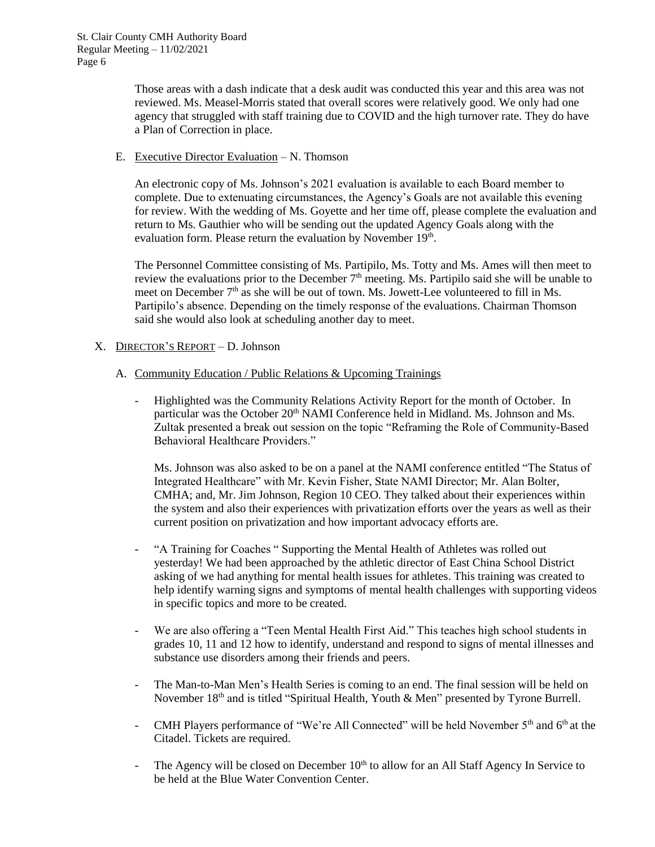Those areas with a dash indicate that a desk audit was conducted this year and this area was not reviewed. Ms. Measel-Morris stated that overall scores were relatively good. We only had one agency that struggled with staff training due to COVID and the high turnover rate. They do have a Plan of Correction in place.

E. Executive Director Evaluation – N. Thomson

An electronic copy of Ms. Johnson's 2021 evaluation is available to each Board member to complete. Due to extenuating circumstances, the Agency's Goals are not available this evening for review. With the wedding of Ms. Goyette and her time off, please complete the evaluation and return to Ms. Gauthier who will be sending out the updated Agency Goals along with the evaluation form. Please return the evaluation by November 19<sup>th</sup>.

The Personnel Committee consisting of Ms. Partipilo, Ms. Totty and Ms. Ames will then meet to review the evaluations prior to the December  $7<sup>th</sup>$  meeting. Ms. Partipilo said she will be unable to meet on December 7<sup>th</sup> as she will be out of town. Ms. Jowett-Lee volunteered to fill in Ms. Partipilo's absence. Depending on the timely response of the evaluations. Chairman Thomson said she would also look at scheduling another day to meet.

# X. DIRECTOR'S REPORT – D. Johnson

- A. Community Education / Public Relations & Upcoming Trainings
	- Highlighted was the Community Relations Activity Report for the month of October. In particular was the October 20<sup>th</sup> NAMI Conference held in Midland. Ms. Johnson and Ms. Zultak presented a break out session on the topic "Reframing the Role of Community-Based Behavioral Healthcare Providers."

Ms. Johnson was also asked to be on a panel at the NAMI conference entitled "The Status of Integrated Healthcare" with Mr. Kevin Fisher, State NAMI Director; Mr. Alan Bolter, CMHA; and, Mr. Jim Johnson, Region 10 CEO. They talked about their experiences within the system and also their experiences with privatization efforts over the years as well as their current position on privatization and how important advocacy efforts are.

- "A Training for Coaches " Supporting the Mental Health of Athletes was rolled out yesterday! We had been approached by the athletic director of East China School District asking of we had anything for mental health issues for athletes. This training was created to help identify warning signs and symptoms of mental health challenges with supporting videos in specific topics and more to be created.
- We are also offering a "Teen Mental Health First Aid." This teaches high school students in grades 10, 11 and 12 how to identify, understand and respond to signs of mental illnesses and substance use disorders among their friends and peers.
- The Man-to-Man Men's Health Series is coming to an end. The final session will be held on November 18<sup>th</sup> and is titled "Spiritual Health, Youth & Men" presented by Tyrone Burrell.
- CMH Players performance of "We're All Connected" will be held November  $5<sup>th</sup>$  and  $6<sup>th</sup>$  at the Citadel. Tickets are required.
- The Agency will be closed on December  $10<sup>th</sup>$  to allow for an All Staff Agency In Service to be held at the Blue Water Convention Center.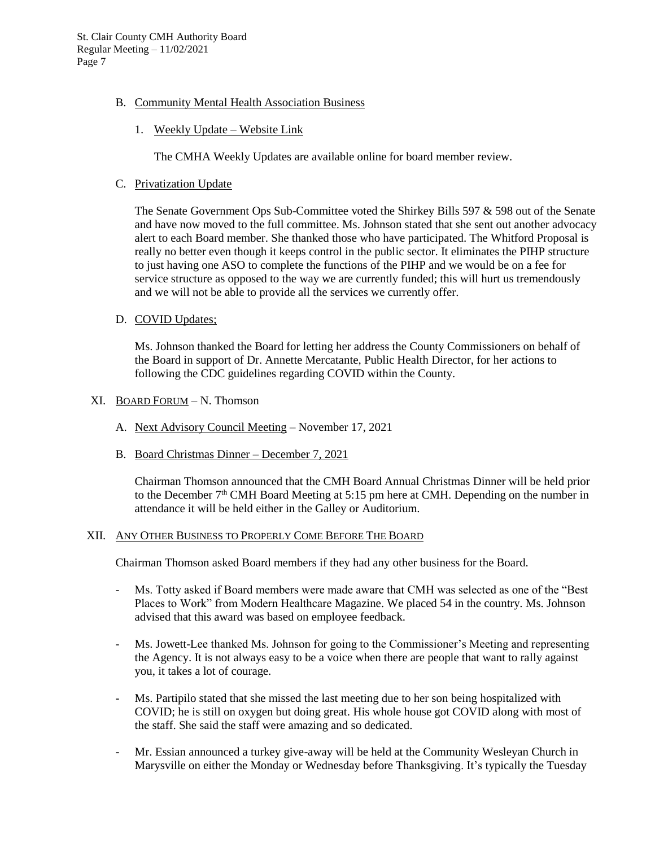- B. Community Mental Health Association Business
	- 1. Weekly Update Website Link

The CMHA Weekly Updates are available online for board member review.

C. Privatization Update

The Senate Government Ops Sub-Committee voted the Shirkey Bills 597 & 598 out of the Senate and have now moved to the full committee. Ms. Johnson stated that she sent out another advocacy alert to each Board member. She thanked those who have participated. The Whitford Proposal is really no better even though it keeps control in the public sector. It eliminates the PIHP structure to just having one ASO to complete the functions of the PIHP and we would be on a fee for service structure as opposed to the way we are currently funded; this will hurt us tremendously and we will not be able to provide all the services we currently offer.

D. COVID Updates;

Ms. Johnson thanked the Board for letting her address the County Commissioners on behalf of the Board in support of Dr. Annette Mercatante, Public Health Director, for her actions to following the CDC guidelines regarding COVID within the County.

- XI. BOARD FORUM N. Thomson
	- A. Next Advisory Council Meeting November 17, 2021
	- B. Board Christmas Dinner December 7, 2021

Chairman Thomson announced that the CMH Board Annual Christmas Dinner will be held prior to the December  $7<sup>th</sup>$  CMH Board Meeting at 5:15 pm here at CMH. Depending on the number in attendance it will be held either in the Galley or Auditorium.

## XII. ANY OTHER BUSINESS TO PROPERLY COME BEFORE THE BOARD

Chairman Thomson asked Board members if they had any other business for the Board.

- Ms. Totty asked if Board members were made aware that CMH was selected as one of the "Best Places to Work" from Modern Healthcare Magazine. We placed 54 in the country. Ms. Johnson advised that this award was based on employee feedback.
- Ms. Jowett-Lee thanked Ms. Johnson for going to the Commissioner's Meeting and representing the Agency. It is not always easy to be a voice when there are people that want to rally against you, it takes a lot of courage.
- Ms. Partipilo stated that she missed the last meeting due to her son being hospitalized with COVID; he is still on oxygen but doing great. His whole house got COVID along with most of the staff. She said the staff were amazing and so dedicated.
- Mr. Essian announced a turkey give-away will be held at the Community Wesleyan Church in Marysville on either the Monday or Wednesday before Thanksgiving. It's typically the Tuesday